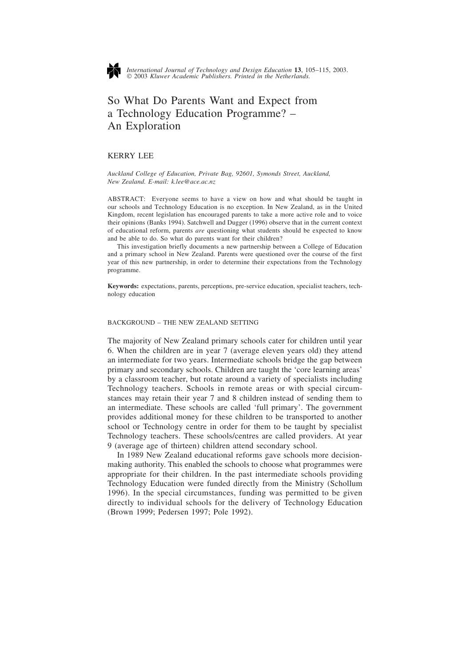

International Journal of Technology and Design Education **13**, 105–115, 2003.<br>© 2003 *Kluwer Academic Publishers. Printed in the Netherlands.* 

# So What Do Parents Want and Expect from a Technology Education Programme? – An Exploration

# KERRY LEE

*Auckland College of Education, Private Bag, 92601, Symonds Street, Auckland, New Zealand. E-mail: k.lee@ace.ac.nz*

ABSTRACT: Everyone seems to have a view on how and what should be taught in our schools and Technology Education is no exception. In New Zealand, as in the United Kingdom, recent legislation has encouraged parents to take a more active role and to voice their opinions (Banks 1994). Satchwell and Dugger (1996) observe that in the current context of educational reform, parents *are* questioning what students should be expected to know and be able to do. So what do parents want for their children?

This investigation briefly documents a new partnership between a College of Education and a primary school in New Zealand. Parents were questioned over the course of the first year of this new partnership, in order to determine their expectations from the Technology programme.

**Keywords:** expectations, parents, perceptions, pre-service education, specialist teachers, technology education

#### BACKGROUND – THE NEW ZEALAND SETTING

The majority of New Zealand primary schools cater for children until year 6. When the children are in year 7 (average eleven years old) they attend an intermediate for two years. Intermediate schools bridge the gap between primary and secondary schools. Children are taught the 'core learning areas' by a classroom teacher, but rotate around a variety of specialists including Technology teachers. Schools in remote areas or with special circumstances may retain their year 7 and 8 children instead of sending them to an intermediate. These schools are called 'full primary'. The government provides additional money for these children to be transported to another school or Technology centre in order for them to be taught by specialist Technology teachers. These schools/centres are called providers. At year 9 (average age of thirteen) children attend secondary school.

In 1989 New Zealand educational reforms gave schools more decisionmaking authority. This enabled the schools to choose what programmes were appropriate for their children. In the past intermediate schools providing Technology Education were funded directly from the Ministry (Schollum 1996). In the special circumstances, funding was permitted to be given directly to individual schools for the delivery of Technology Education (Brown 1999; Pedersen 1997; Pole 1992).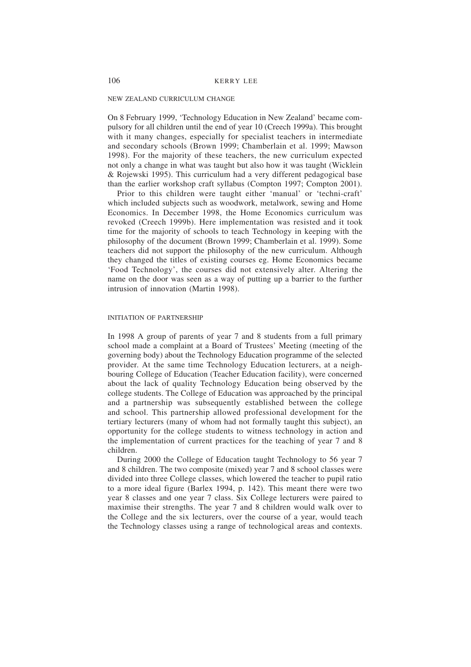#### NEW ZEALAND CURRICULUM CHANGE

On 8 February 1999, 'Technology Education in New Zealand' became compulsory for all children until the end of year 10 (Creech 1999a). This brought with it many changes, especially for specialist teachers in intermediate and secondary schools (Brown 1999; Chamberlain et al. 1999; Mawson 1998). For the majority of these teachers, the new curriculum expected not only a change in what was taught but also how it was taught (Wicklein & Rojewski 1995). This curriculum had a very different pedagogical base than the earlier workshop craft syllabus (Compton 1997; Compton 2001).

Prior to this children were taught either 'manual' or 'techni-craft' which included subjects such as woodwork, metalwork, sewing and Home Economics. In December 1998, the Home Economics curriculum was revoked (Creech 1999b). Here implementation was resisted and it took time for the majority of schools to teach Technology in keeping with the philosophy of the document (Brown 1999; Chamberlain et al. 1999). Some teachers did not support the philosophy of the new curriculum. Although they changed the titles of existing courses eg. Home Economics became 'Food Technology', the courses did not extensively alter. Altering the name on the door was seen as a way of putting up a barrier to the further intrusion of innovation (Martin 1998).

#### INITIATION OF PARTNERSHIP

In 1998 A group of parents of year 7 and 8 students from a full primary school made a complaint at a Board of Trustees' Meeting (meeting of the governing body) about the Technology Education programme of the selected provider. At the same time Technology Education lecturers, at a neighbouring College of Education (Teacher Education facility), were concerned about the lack of quality Technology Education being observed by the college students. The College of Education was approached by the principal and a partnership was subsequently established between the college and school. This partnership allowed professional development for the tertiary lecturers (many of whom had not formally taught this subject), an opportunity for the college students to witness technology in action and the implementation of current practices for the teaching of year 7 and 8 children.

During 2000 the College of Education taught Technology to 56 year 7 and 8 children. The two composite (mixed) year 7 and 8 school classes were divided into three College classes, which lowered the teacher to pupil ratio to a more ideal figure (Barlex 1994, p. 142). This meant there were two year 8 classes and one year 7 class. Six College lecturers were paired to maximise their strengths. The year 7 and 8 children would walk over to the College and the six lecturers, over the course of a year, would teach the Technology classes using a range of technological areas and contexts.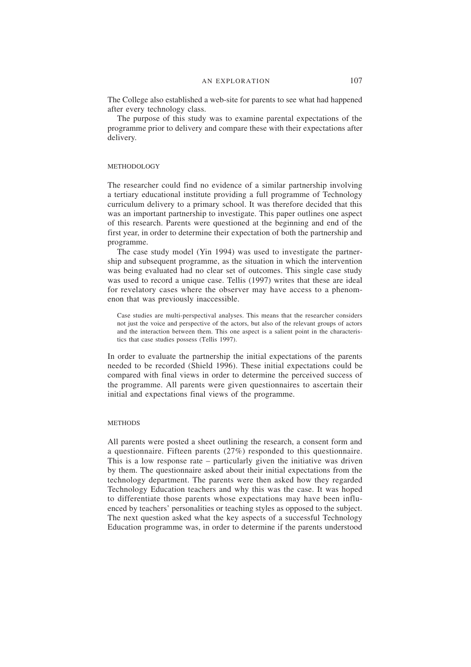The College also established a web-site for parents to see what had happened after every technology class.

The purpose of this study was to examine parental expectations of the programme prior to delivery and compare these with their expectations after delivery.

#### METHODOLOGY

The researcher could find no evidence of a similar partnership involving a tertiary educational institute providing a full programme of Technology curriculum delivery to a primary school. It was therefore decided that this was an important partnership to investigate. This paper outlines one aspect of this research. Parents were questioned at the beginning and end of the first year, in order to determine their expectation of both the partnership and programme.

The case study model (Yin 1994) was used to investigate the partnership and subsequent programme, as the situation in which the intervention was being evaluated had no clear set of outcomes. This single case study was used to record a unique case. Tellis (1997) writes that these are ideal for revelatory cases where the observer may have access to a phenomenon that was previously inaccessible.

Case studies are multi-perspectival analyses. This means that the researcher considers not just the voice and perspective of the actors, but also of the relevant groups of actors and the interaction between them. This one aspect is a salient point in the characteristics that case studies possess (Tellis 1997).

In order to evaluate the partnership the initial expectations of the parents needed to be recorded (Shield 1996). These initial expectations could be compared with final views in order to determine the perceived success of the programme. All parents were given questionnaires to ascertain their initial and expectations final views of the programme.

## **METHODS**

All parents were posted a sheet outlining the research, a consent form and a questionnaire. Fifteen parents (27%) responded to this questionnaire. This is a low response rate – particularly given the initiative was driven by them. The questionnaire asked about their initial expectations from the technology department. The parents were then asked how they regarded Technology Education teachers and why this was the case. It was hoped to differentiate those parents whose expectations may have been influenced by teachers' personalities or teaching styles as opposed to the subject. The next question asked what the key aspects of a successful Technology Education programme was, in order to determine if the parents understood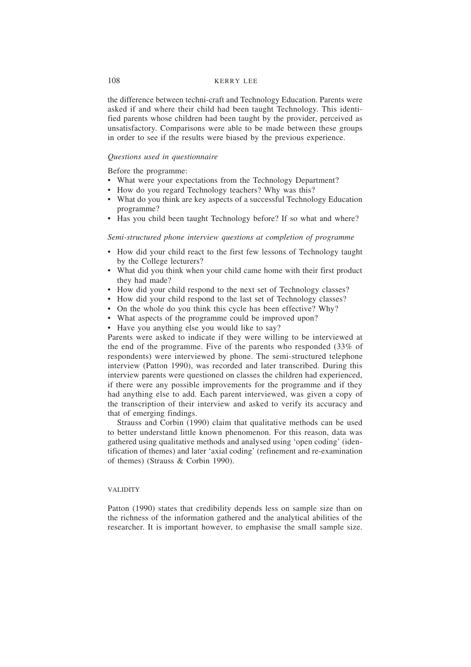the difference between techni-craft and Technology Education. Parents were asked if and where their child had been taught Technology. This identified parents whose children had been taught by the provider, perceived as unsatisfactory. Comparisons were able to be made between these groups in order to see if the results were biased by the previous experience.

# *Questions used in questionnaire*

Before the programme:

- What were your expectations from the Technology Department?
- How do you regard Technology teachers? Why was this?
- What do you think are key aspects of a successful Technology Education programme?
- Has you child been taught Technology before? If so what and where?

## *Semi-structured phone interview questions at completion of programme*

- How did your child react to the first few lessons of Technology taught by the College lecturers?
- What did you think when your child came home with their first product they had made?
- How did your child respond to the next set of Technology classes?
- How did your child respond to the last set of Technology classes?
- On the whole do you think this cycle has been effective? Why?
- What aspects of the programme could be improved upon?
- Have you anything else you would like to say?

Parents were asked to indicate if they were willing to be interviewed at the end of the programme. Five of the parents who responded (33% of respondents) were interviewed by phone. The semi-structured telephone interview (Patton 1990), was recorded and later transcribed. During this interview parents were questioned on classes the children had experienced, if there were any possible improvements for the programme and if they had anything else to add. Each parent interviewed, was given a copy of the transcription of their interview and asked to verify its accuracy and that of emerging findings.

Strauss and Corbin (1990) claim that qualitative methods can be used to better understand little known phenomenon. For this reason, data was gathered using qualitative methods and analysed using 'open coding' (identification of themes) and later 'axial coding' (refinement and re-examination of themes) (Strauss & Corbin 1990).

# VALIDITY

Patton (1990) states that credibility depends less on sample size than on the richness of the information gathered and the analytical abilities of the researcher. It is important however, to emphasise the small sample size.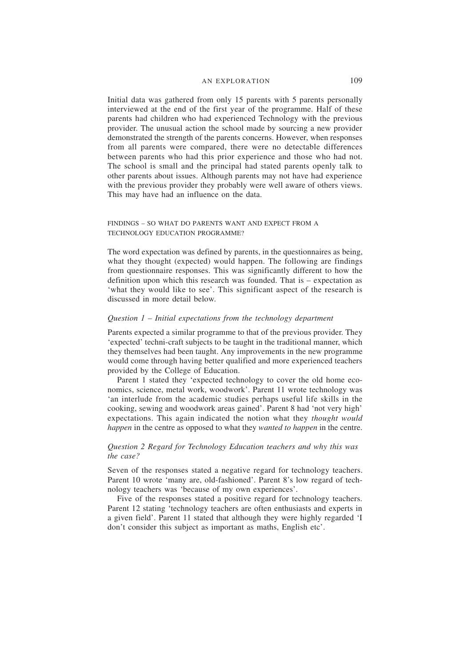Initial data was gathered from only 15 parents with 5 parents personally interviewed at the end of the first year of the programme. Half of these parents had children who had experienced Technology with the previous provider. The unusual action the school made by sourcing a new provider demonstrated the strength of the parents concerns. However, when responses from all parents were compared, there were no detectable differences between parents who had this prior experience and those who had not. The school is small and the principal had stated parents openly talk to other parents about issues. Although parents may not have had experience with the previous provider they probably were well aware of others views. This may have had an influence on the data.

# FINDINGS – SO WHAT DO PARENTS WANT AND EXPECT FROM A TECHNOLOGY EDUCATION PROGRAMME?

The word expectation was defined by parents, in the questionnaires as being, what they thought (expected) would happen. The following are findings from questionnaire responses. This was significantly different to how the definition upon which this research was founded. That is – expectation as 'what they would like to see'. This significant aspect of the research is discussed in more detail below.

## *Question 1 – Initial expectations from the technology department*

Parents expected a similar programme to that of the previous provider. They 'expected' techni-craft subjects to be taught in the traditional manner, which they themselves had been taught. Any improvements in the new programme would come through having better qualified and more experienced teachers provided by the College of Education.

Parent 1 stated they 'expected technology to cover the old home economics, science, metal work, woodwork'. Parent 11 wrote technology was 'an interlude from the academic studies perhaps useful life skills in the cooking, sewing and woodwork areas gained'. Parent 8 had 'not very high' expectations. This again indicated the notion what they *thought would happen* in the centre as opposed to what they *wanted to happen* in the centre.

# *Question 2 Regard for Technology Education teachers and why this was the case?*

Seven of the responses stated a negative regard for technology teachers. Parent 10 wrote 'many are, old-fashioned'. Parent 8's low regard of technology teachers was 'because of my own experiences'.

Five of the responses stated a positive regard for technology teachers. Parent 12 stating 'technology teachers are often enthusiasts and experts in a given field'. Parent 11 stated that although they were highly regarded 'I don't consider this subject as important as maths, English etc'.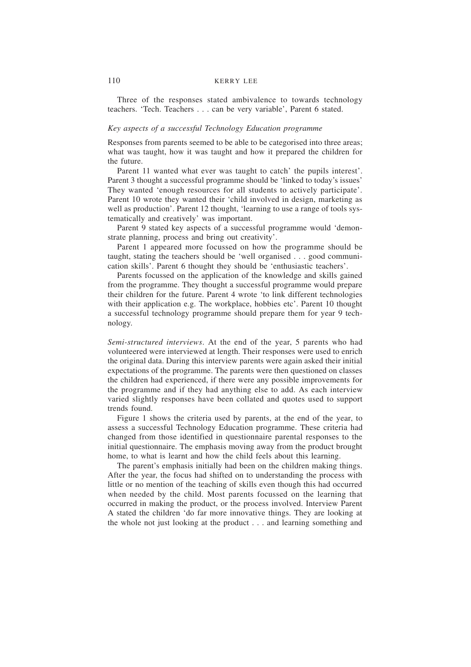Three of the responses stated ambivalence to towards technology teachers. 'Tech. Teachers . . . can be very variable', Parent 6 stated.

#### *Key aspects of a successful Technology Education programme*

Responses from parents seemed to be able to be categorised into three areas; what was taught, how it was taught and how it prepared the children for the future.

Parent 11 wanted what ever was taught to catch' the pupils interest'. Parent 3 thought a successful programme should be 'linked to today's issues' They wanted 'enough resources for all students to actively participate'. Parent 10 wrote they wanted their 'child involved in design, marketing as well as production'. Parent 12 thought, 'learning to use a range of tools systematically and creatively' was important.

Parent 9 stated key aspects of a successful programme would 'demonstrate planning, process and bring out creativity'.

Parent 1 appeared more focussed on how the programme should be taught, stating the teachers should be 'well organised . . . good communication skills'. Parent 6 thought they should be 'enthusiastic teachers'.

Parents focussed on the application of the knowledge and skills gained from the programme. They thought a successful programme would prepare their children for the future. Parent 4 wrote 'to link different technologies with their application e.g. The workplace, hobbies etc'. Parent 10 thought a successful technology programme should prepare them for year 9 technology.

*Semi-structured interviews*. At the end of the year, 5 parents who had volunteered were interviewed at length. Their responses were used to enrich the original data. During this interview parents were again asked their initial expectations of the programme. The parents were then questioned on classes the children had experienced, if there were any possible improvements for the programme and if they had anything else to add. As each interview varied slightly responses have been collated and quotes used to support trends found.

Figure 1 shows the criteria used by parents, at the end of the year, to assess a successful Technology Education programme. These criteria had changed from those identified in questionnaire parental responses to the initial questionnaire. The emphasis moving away from the product brought home, to what is learnt and how the child feels about this learning.

The parent's emphasis initially had been on the children making things. After the year, the focus had shifted on to understanding the process with little or no mention of the teaching of skills even though this had occurred when needed by the child. Most parents focussed on the learning that occurred in making the product, or the process involved. Interview Parent A stated the children 'do far more innovative things. They are looking at the whole not just looking at the product . . . and learning something and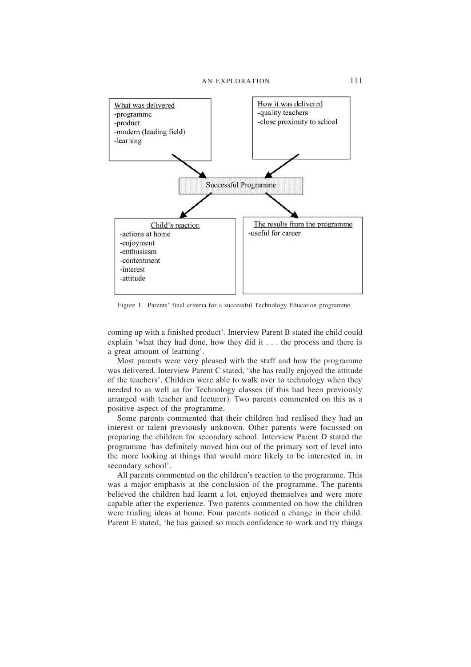

Figure 1. Parents' final criteria for a successful Technology Education programme.

coming up with a finished product'. Interview Parent B stated the child could explain 'what they had done, how they did it . . . the process and there is a great amount of learning'.

Most parents were very pleased with the staff and how the programme was delivered. Interview Parent C stated, 'she has really enjoyed the attitude of the teachers'. Children were able to walk over to technology when they needed to as well as for Technology classes (if this had been previously arranged with teacher and lecturer). Two parents commented on this as a positive aspect of the programme.

Some parents commented that their children had realised they had an interest or talent previously unknown. Other parents were focussed on preparing the children for secondary school. Interview Parent D stated the programme 'has definitely moved him out of the primary sort of level into the more looking at things that would more likely to be interested in, in secondary school'.

All parents commented on the children's reaction to the programme. This was a major emphasis at the conclusion of the programme. The parents believed the children had learnt a lot, enjoyed themselves and were more capable after the experience. Two parents commented on how the children were trialing ideas at home. Four parents noticed a change in their child. Parent E stated, 'he has gained so much confidence to work and try things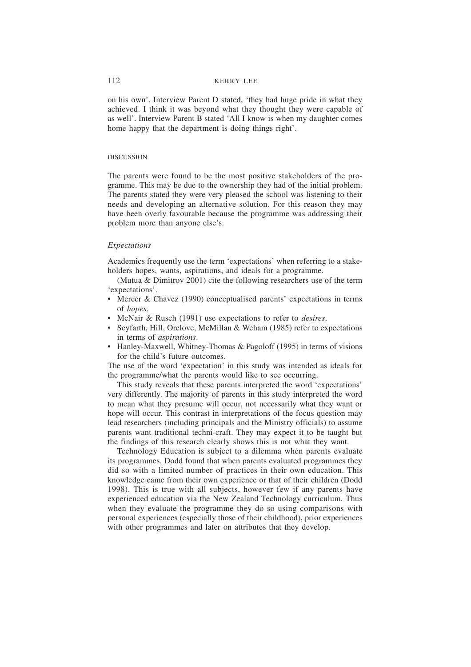on his own'. Interview Parent D stated, 'they had huge pride in what they achieved. I think it was beyond what they thought they were capable of as well'. Interview Parent B stated 'All I know is when my daughter comes home happy that the department is doing things right'.

## DISCUSSION

The parents were found to be the most positive stakeholders of the programme. This may be due to the ownership they had of the initial problem. The parents stated they were very pleased the school was listening to their needs and developing an alternative solution. For this reason they may have been overly favourable because the programme was addressing their problem more than anyone else's.

#### *Expectations*

Academics frequently use the term 'expectations' when referring to a stakeholders hopes, wants, aspirations, and ideals for a programme.

(Mutua & Dimitrov 2001) cite the following researchers use of the term 'expectations'.

- Mercer & Chavez (1990) conceptualised parents' expectations in terms of *hopes*.
- McNair & Rusch (1991) use expectations to refer to *desires*.
- Seyfarth, Hill, Orelove, McMillan & Weham (1985) refer to expectations in terms of *aspirations*.
- Hanley-Maxwell, Whitney-Thomas & Pagoloff (1995) in terms of visions for the child's future outcomes.

The use of the word 'expectation' in this study was intended as ideals for the programme/what the parents would like to see occurring.

This study reveals that these parents interpreted the word 'expectations' very differently. The majority of parents in this study interpreted the word to mean what they presume will occur, not necessarily what they want or hope will occur. This contrast in interpretations of the focus question may lead researchers (including principals and the Ministry officials) to assume parents want traditional techni-craft. They may expect it to be taught but the findings of this research clearly shows this is not what they want.

Technology Education is subject to a dilemma when parents evaluate its programmes. Dodd found that when parents evaluated programmes they did so with a limited number of practices in their own education. This knowledge came from their own experience or that of their children (Dodd 1998). This is true with all subjects, however few if any parents have experienced education via the New Zealand Technology curriculum. Thus when they evaluate the programme they do so using comparisons with personal experiences (especially those of their childhood), prior experiences with other programmes and later on attributes that they develop.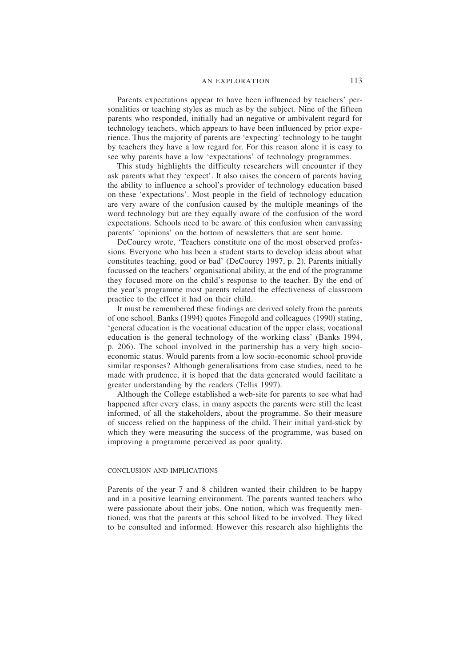Parents expectations appear to have been influenced by teachers' personalities or teaching styles as much as by the subject. Nine of the fifteen parents who responded, initially had an negative or ambivalent regard for technology teachers, which appears to have been influenced by prior experience. Thus the majority of parents are 'expecting' technology to be taught by teachers they have a low regard for. For this reason alone it is easy to see why parents have a low 'expectations' of technology programmes.

This study highlights the difficulty researchers will encounter if they ask parents what they 'expect'. It also raises the concern of parents having the ability to influence a school's provider of technology education based on these 'expectations'. Most people in the field of technology education are very aware of the confusion caused by the multiple meanings of the word technology but are they equally aware of the confusion of the word expectations. Schools need to be aware of this confusion when canvassing parents' 'opinions' on the bottom of newsletters that are sent home.

DeCourcy wrote, 'Teachers constitute one of the most observed professions. Everyone who has been a student starts to develop ideas about what constitutes teaching, good or bad' (DeCourcy 1997, p. 2). Parents initially focussed on the teachers' organisational ability, at the end of the programme they focused more on the child's response to the teacher. By the end of the year's programme most parents related the effectiveness of classroom practice to the effect it had on their child.

It must be remembered these findings are derived solely from the parents of one school. Banks (1994) quotes Finegold and colleagues (1990) stating, 'general education is the vocational education of the upper class; vocational education is the general technology of the working class' (Banks 1994, p. 206). The school involved in the partnership has a very high socioeconomic status. Would parents from a low socio-economic school provide similar responses? Although generalisations from case studies, need to be made with prudence, it is hoped that the data generated would facilitate a greater understanding by the readers (Tellis 1997).

Although the College established a web-site for parents to see what had happened after every class, in many aspects the parents were still the least informed, of all the stakeholders, about the programme. So their measure of success relied on the happiness of the child. Their initial yard-stick by which they were measuring the success of the programme, was based on improving a programme perceived as poor quality.

#### CONCLUSION AND IMPLICATIONS

Parents of the year 7 and 8 children wanted their children to be happy and in a positive learning environment. The parents wanted teachers who were passionate about their jobs. One notion, which was frequently mentioned, was that the parents at this school liked to be involved. They liked to be consulted and informed. However this research also highlights the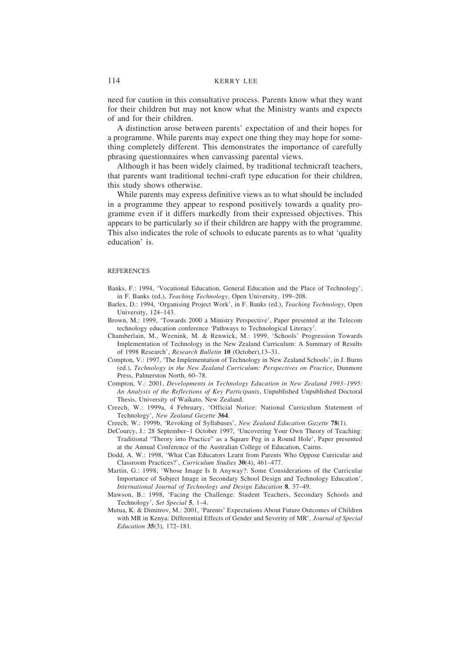need for caution in this consultative process. Parents know what they want for their children but may not know what the Ministry wants and expects of and for their children.

A distinction arose between parents' expectation of and their hopes for a programme. While parents may expect one thing they may hope for something completely different. This demonstrates the importance of carefully phrasing questionnaires when canvassing parental views.

Although it has been widely claimed, by traditional technicraft teachers, that parents want traditional techni-craft type education for their children, this study shows otherwise.

While parents may express definitive views as to what should be included in a programme they appear to respond positively towards a quality programme even if it differs markedly from their expressed objectives. This appears to be particularly so if their children are happy with the programme. This also indicates the role of schools to educate parents as to what 'quality education' is.

#### REFERENCES

- Banks, F.: 1994, 'Vocational Education, General Education and the Place of Technology', in F. Banks (ed.), *Teaching Technology*, Open University, 199–208.
- Barlex, D.: 1994, 'Organising Project Work', in F. Banks (ed.), *Teaching Technology*, Open University, 124–143.
- Brown, M.: 1999, 'Towards 2000 a Ministry Perspective', Paper presented at the Telecom technology education conference 'Pathways to Technological Literacy'.
- Chamberlain, M., Weenink, M. & Renwick, M.: 1999, 'Schools' Progression Towards Implementation of Technology in the New Zealand Curriculum: A Summary of Results of 1998 Research', *Research Bulletin* **10** (October),13–31.
- Compton, V.: 1997, 'The Implementation of Technology in New Zealand Schools', in J. Burns (ed.), *Technology in the New Zealand Curriculum: Perspectives on Practice*, Dunmore Press, Palmerston North, 60–78.
- Compton, V.: 2001, *Developments in Technology Education in New Zealand 1993–1995: An Analysis of the Reflections of Key Participants*, Unpublished Unpublished Doctoral Thesis, University of Waikato, New Zealand.
- Creech, W.: 1999a, 4 February, 'Official Notice: National Curriculum Statement of Technology', *New Zealand Gazette* **364**.
- Creech, W.: 1999b, 'Revoking of Syllabuses', *New Zealand Education Gazette* **78**(1).
- DeCourcy, J.: 28 September–1 October 1997, 'Uncovering Your Own Theory of Teaching: Traditional "Theory into Practice" as a Square Peg in a Round Hole', Paper presented at the Annual Conference of the Australian College of Education, Cairns.
- Dodd, A. W.: 1998, 'What Can Educators Learn from Parents Who Oppose Curricular and Classroom Practices?', *Curriculum Studies* **30**(4), 461–477.
- Martin, G.: 1998, 'Whose Image Is It Anyway?: Some Considerations of the Curricular Importance of Subject Image in Secondary School Design and Technology Education', *International Journal of Technology and Design Education* **8**, 37–49.
- Mawson, B.: 1998, 'Facing the Challenge: Student Teachers, Secondary Schools and Technology', *Set Special* **5**, 1–4.
- Mutua, K. & Dimitrov, M.: 2001, 'Parents' Expectations About Future Outcomes of Children with MR in Kenya: Differential Effects of Gender and Severity of MR', *Journal of Special Education* **35**(3), 172–181.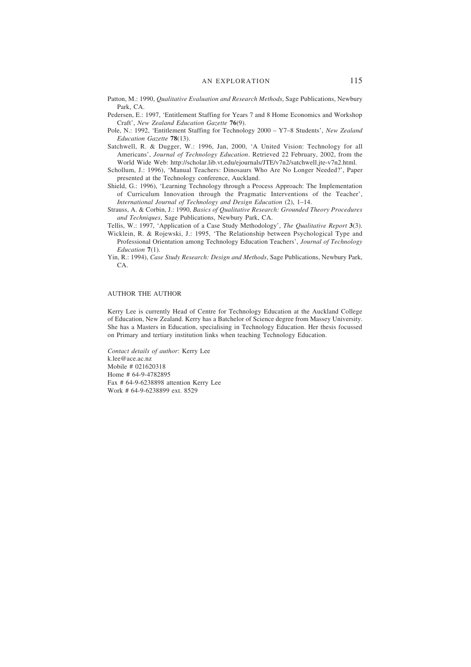- Patton, M.: 1990, *Qualitative Evaluation and Research Methods*, Sage Publications, Newbury Park, CA.
- Pedersen, E.: 1997, 'Entitlement Staffing for Years 7 and 8 Home Economics and Workshop Craft', *New Zealand Education Gazette* **76**(9).
- Pole, N.: 1992, 'Entitlement Staffing for Technology 2000 Y7–8 Students', *New Zealand Education Gazette* **78**(13).
- Satchwell, R. & Dugger, W.: 1996, Jan, 2000, 'A United Vision: Technology for all Americans', *Journal of Technology Education*. Retrieved 22 February, 2002, from the World Wide Web: http://scholar.lib.vt.edu/ejournals/JTE/v7n2/satchwell.jte-v7n2.html.
- Schollum, J.: 1996), 'Manual Teachers: Dinosaurs Who Are No Longer Needed?', Paper presented at the Technology conference, Auckland.
- Shield, G.: 1996), 'Learning Technology through a Process Approach: The Implementation of Curriculum Innovation through the Pragmatic Interventions of the Teacher', *International Journal of Technology and Design Education* (2), 1–14.
- Strauss, A. & Corbin, J.: 1990, *Basics of Qualitative Research: Grounded Theory Procedures and Techniques*, Sage Publications, Newbury Park, CA.
- Tellis, W.: 1997, 'Application of a Case Study Methodology', *The Qualitative Report* **3**(3).
- Wicklein, R. & Rojewski, J.: 1995, 'The Relationship between Psychological Type and Professional Orientation among Technology Education Teachers', *Journal of Technology Education* **7**(1).
- Yin, R.: 1994), *Case Study Research: Design and Methods*, Sage Publications, Newbury Park, CA.

#### AUTHOR THE AUTHOR

Kerry Lee is currently Head of Centre for Technology Education at the Auckland College of Education, New Zealand. Kerry has a Batchelor of Science degree from Massey University. She has a Masters in Education, specialising in Technology Education. Her thesis focussed on Primary and tertiary institution links when teaching Technology Education.

*Contact details of author*: Kerry Lee k.lee@ace.ac.nz Mobile # 021620318 Home # 64-9-4782895 Fax # 64-9-6238898 attention Kerry Lee Work # 64-9-6238899 ext. 8529